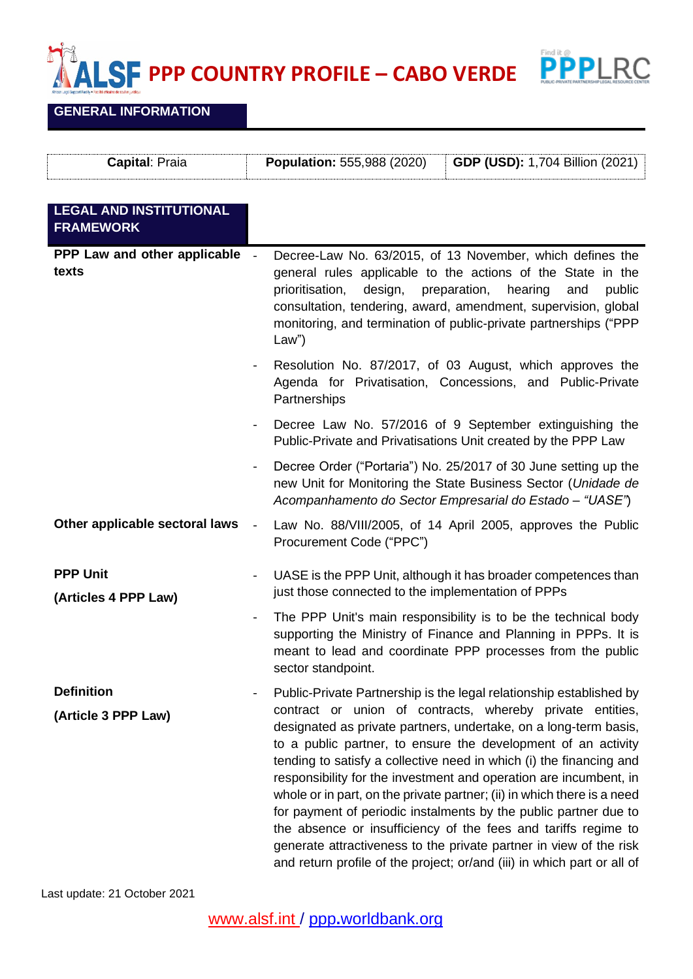$\sum_{i=1}^{n}$ **PPP COUNTRY PROFILE – CABO VERDE**



## **GENERAL INFORMATION**

| Capital: Praia                                     | <b>Population: 555,988 (2020)</b><br><b>GDP (USD): 1,704 Billion (2021)</b>                                                                                                                                                                                                                                                                                                                                                                                                                                                                                                                                                                                                                                                                                                         |
|----------------------------------------------------|-------------------------------------------------------------------------------------------------------------------------------------------------------------------------------------------------------------------------------------------------------------------------------------------------------------------------------------------------------------------------------------------------------------------------------------------------------------------------------------------------------------------------------------------------------------------------------------------------------------------------------------------------------------------------------------------------------------------------------------------------------------------------------------|
| <b>LEGAL AND INSTITUTIONAL</b><br><b>FRAMEWORK</b> |                                                                                                                                                                                                                                                                                                                                                                                                                                                                                                                                                                                                                                                                                                                                                                                     |
| PPP Law and other applicable<br>texts              | Decree-Law No. 63/2015, of 13 November, which defines the<br>$\overline{a}$<br>general rules applicable to the actions of the State in the<br>design,<br>preparation,<br>hearing<br>public<br>prioritisation,<br>and<br>consultation, tendering, award, amendment, supervision, global<br>monitoring, and termination of public-private partnerships ("PPP<br>Law")                                                                                                                                                                                                                                                                                                                                                                                                                 |
|                                                    | Resolution No. 87/2017, of 03 August, which approves the<br>Agenda for Privatisation, Concessions, and Public-Private<br>Partnerships                                                                                                                                                                                                                                                                                                                                                                                                                                                                                                                                                                                                                                               |
|                                                    | Decree Law No. 57/2016 of 9 September extinguishing the<br>Public-Private and Privatisations Unit created by the PPP Law                                                                                                                                                                                                                                                                                                                                                                                                                                                                                                                                                                                                                                                            |
|                                                    | Decree Order ("Portaria") No. 25/2017 of 30 June setting up the<br>new Unit for Monitoring the State Business Sector (Unidade de<br>Acompanhamento do Sector Empresarial do Estado - "UASE")                                                                                                                                                                                                                                                                                                                                                                                                                                                                                                                                                                                        |
| Other applicable sectoral laws                     | Law No. 88/VIII/2005, of 14 April 2005, approves the Public<br>Procurement Code ("PPC")                                                                                                                                                                                                                                                                                                                                                                                                                                                                                                                                                                                                                                                                                             |
| <b>PPP Unit</b><br>(Articles 4 PPP Law)            | UASE is the PPP Unit, although it has broader competences than<br>$\blacksquare$<br>just those connected to the implementation of PPPs                                                                                                                                                                                                                                                                                                                                                                                                                                                                                                                                                                                                                                              |
|                                                    | The PPP Unit's main responsibility is to be the technical body<br>$\blacksquare$<br>supporting the Ministry of Finance and Planning in PPPs. It is<br>meant to lead and coordinate PPP processes from the public<br>sector standpoint.                                                                                                                                                                                                                                                                                                                                                                                                                                                                                                                                              |
| <b>Definition</b><br>(Article 3 PPP Law)           | Public-Private Partnership is the legal relationship established by<br>contract or union of contracts, whereby private entities,<br>designated as private partners, undertake, on a long-term basis,<br>to a public partner, to ensure the development of an activity<br>tending to satisfy a collective need in which (i) the financing and<br>responsibility for the investment and operation are incumbent, in<br>whole or in part, on the private partner; (ii) in which there is a need<br>for payment of periodic instalments by the public partner due to<br>the absence or insufficiency of the fees and tariffs regime to<br>generate attractiveness to the private partner in view of the risk<br>and return profile of the project; or/and (iii) in which part or all of |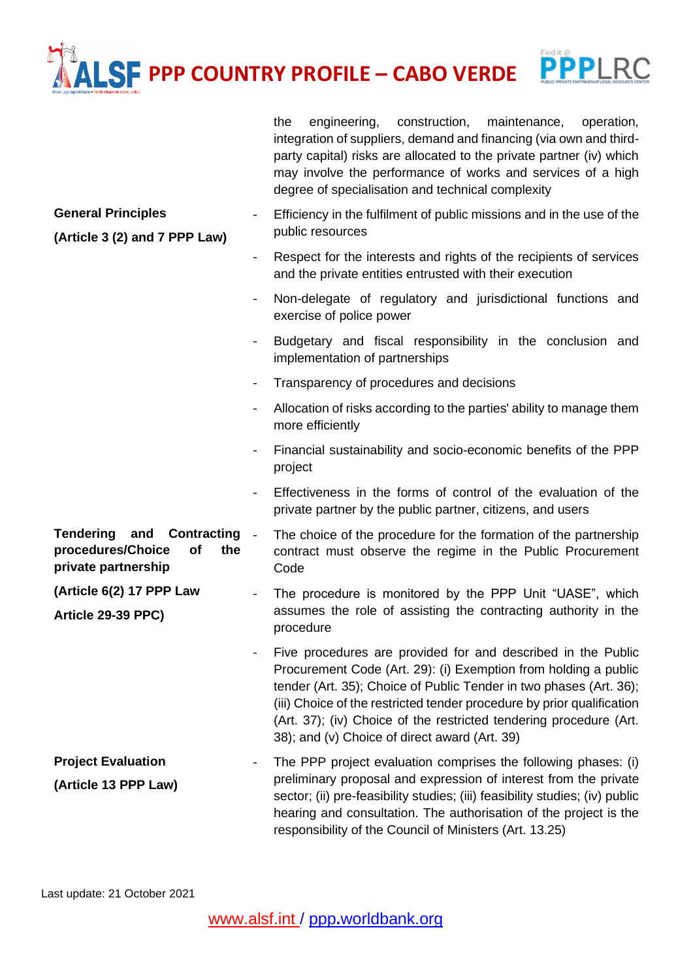## **PROFILE** – CABO VERDE  $\boxed{\textcolor{red}{\textbf{P}}\textcolor{red}{\textbf{P}}\textcolor{red}{\textbf{P}}\textcolor{red}{\textbf{P}}\textcolor{red}{\textbf{P}}\textcolor{red}{\textbf{P}}\textcolor{red}{\textbf{P}}\textcolor{red}{\textbf{P}}\textcolor{red}{\textbf{P}}\textcolor{red}{\textbf{P}}\textcolor{red}{\textbf{P}}\textcolor{red}{\textbf{P}}\textcolor{red}{\textbf{P}}\textcolor{red}{\textbf{P}}\textcolor{red}{\textbf{P}}\textcolor{red}{\textbf{P}}\textcolor{red}{\textbf{P}}\textcolor{red}{\textbf{P}}\text$

|                                                                                                 |                | construction,<br>the<br>engineering,<br>maintenance,<br>operation,<br>integration of suppliers, demand and financing (via own and third-<br>party capital) risks are allocated to the private partner (iv) which<br>may involve the performance of works and services of a high<br>degree of specialisation and technical complexity                                                                   |
|-------------------------------------------------------------------------------------------------|----------------|--------------------------------------------------------------------------------------------------------------------------------------------------------------------------------------------------------------------------------------------------------------------------------------------------------------------------------------------------------------------------------------------------------|
| <b>General Principles</b><br>(Article 3 (2) and 7 PPP Law)                                      |                | Efficiency in the fulfilment of public missions and in the use of the<br>public resources                                                                                                                                                                                                                                                                                                              |
|                                                                                                 | $\blacksquare$ | Respect for the interests and rights of the recipients of services<br>and the private entities entrusted with their execution                                                                                                                                                                                                                                                                          |
|                                                                                                 | $\blacksquare$ | Non-delegate of regulatory and jurisdictional functions and<br>exercise of police power                                                                                                                                                                                                                                                                                                                |
|                                                                                                 | $\blacksquare$ | Budgetary and fiscal responsibility in the conclusion and<br>implementation of partnerships                                                                                                                                                                                                                                                                                                            |
|                                                                                                 | $\blacksquare$ | Transparency of procedures and decisions                                                                                                                                                                                                                                                                                                                                                               |
|                                                                                                 |                | Allocation of risks according to the parties' ability to manage them<br>more efficiently                                                                                                                                                                                                                                                                                                               |
|                                                                                                 |                | Financial sustainability and socio-economic benefits of the PPP<br>project                                                                                                                                                                                                                                                                                                                             |
|                                                                                                 |                | Effectiveness in the forms of control of the evaluation of the<br>private partner by the public partner, citizens, and users                                                                                                                                                                                                                                                                           |
| <b>Tendering</b><br>Contracting<br>and<br>procedures/Choice<br>of<br>the<br>private partnership | $\blacksquare$ | The choice of the procedure for the formation of the partnership<br>contract must observe the regime in the Public Procurement<br>Code                                                                                                                                                                                                                                                                 |
| (Article 6(2) 17 PPP Law<br>Article 29-39 PPC)                                                  |                | The procedure is monitored by the PPP Unit "UASE", which<br>assumes the role of assisting the contracting authority in the<br>procedure                                                                                                                                                                                                                                                                |
|                                                                                                 |                | Five procedures are provided for and described in the Public<br>Procurement Code (Art. 29): (i) Exemption from holding a public<br>tender (Art. 35); Choice of Public Tender in two phases (Art. 36);<br>(iii) Choice of the restricted tender procedure by prior qualification<br>(Art. 37); (iv) Choice of the restricted tendering procedure (Art.<br>38); and (v) Choice of direct award (Art. 39) |
| <b>Project Evaluation</b><br>(Article 13 PPP Law)                                               |                | The PPP project evaluation comprises the following phases: (i)<br>preliminary proposal and expression of interest from the private<br>sector; (ii) pre-feasibility studies; (iii) feasibility studies; (iv) public<br>hearing and consultation. The authorisation of the project is the<br>responsibility of the Council of Ministers (Art. 13.25)                                                     |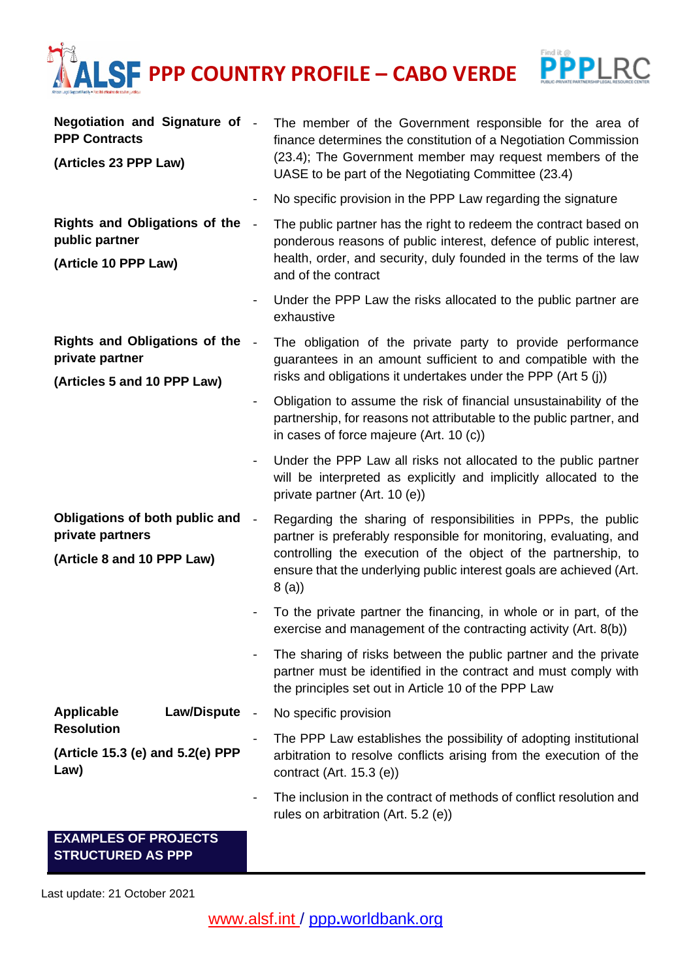## **LSF PPP COUNTRY PROFILE - CABO VERDE PPPLRC**



Last update: 21 October 2021